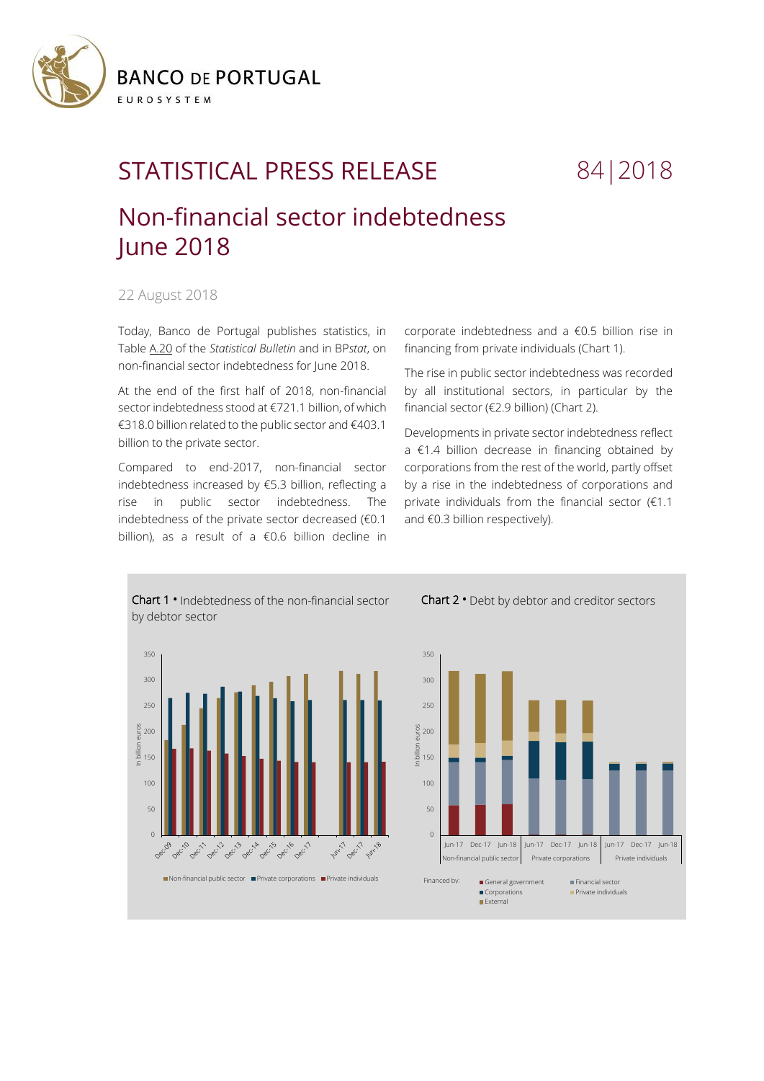

## STATISTICAL PRESS RELEASE 84 | 2018

## Non-financial sector indebtedness June 2018

22 August 2018

Today, Banco de Portugal publishes statistics, in Tabl[e A.20 o](https://www.bportugal.pt/sites/default/files/anexos/20-endividamento_setor_nao_financeiro_en.pdf)f the *Statistical Bulletin* and in BP*stat*, on non-financial sector indebtedness for June 2018.

At the end of the first half of 2018, non-financial sector indebtedness stood at €721.1 billion, of which €318.0 billion related to the public sector and €403.1 billion to the private sector.

Compared to end-2017, non-financial sector indebtedness increased by €5.3 billion, reflecting a rise in public sector indebtedness. The indebtedness of the private sector decreased (€0.1 billion), as a result of a  $€0.6$  billion decline in

corporate indebtedness and a €0.5 billion rise in financing from private individuals (Chart 1).

The rise in public sector indebtedness was recorded by all institutional sectors, in particular by the financial sector (€2.9 billion) (Chart 2).

Developments in private sector indebtedness reflect a €1.4 billion decrease in financing obtained by corporations from the rest of the world, partly offset by a rise in the indebtedness of corporations and private individuals from the financial sector (€1.1 and €0.3 billion respectively).



Chart 2 **•** Debt by debtor and creditor sectors